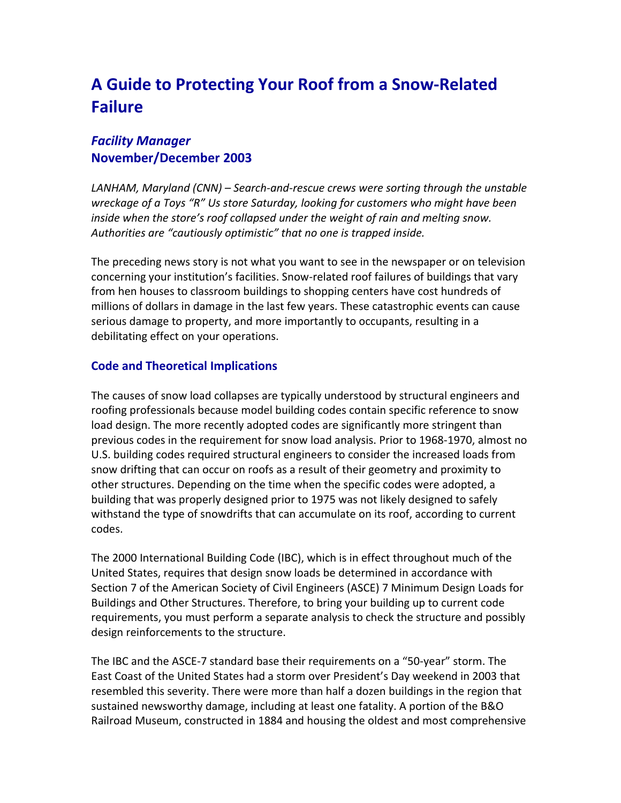# **A Guide to Protecting Your Roof from a Snow‐Related Failure**

## *Facility Manager* **November/December 2003**

*LANHAM, Maryland (CNN) – Search‐and‐rescue crews were sorting through the unstable wreckage of a Toys "R" Us store Saturday, looking for customers who might have been inside when the store's roof collapsed under the weight of rain and melting snow. Authorities are "cautiously optimistic" that no one is trapped inside.*

The preceding news story is not what you want to see in the newspaper or on television concerning your institution's facilities. Snow‐related roof failures of buildings that vary from hen houses to classroom buildings to shopping centers have cost hundreds of millions of dollars in damage in the last few years. These catastrophic events can cause serious damage to property, and more importantly to occupants, resulting in a debilitating effect on your operations.

### **Code and Theoretical Implications**

The causes of snow load collapses are typically understood by structural engineers and roofing professionals because model building codes contain specific reference to snow load design. The more recently adopted codes are significantly more stringent than previous codes in the requirement for snow load analysis. Prior to 1968‐1970, almost no U.S. building codes required structural engineers to consider the increased loads from snow drifting that can occur on roofs as a result of their geometry and proximity to other structures. Depending on the time when the specific codes were adopted, a building that was properly designed prior to 1975 was not likely designed to safely withstand the type of snowdrifts that can accumulate on its roof, according to current codes.

The 2000 International Building Code (IBC), which is in effect throughout much of the United States, requires that design snow loads be determined in accordance with Section 7 of the American Society of Civil Engineers (ASCE) 7 Minimum Design Loads for Buildings and Other Structures. Therefore, to bring your building up to current code requirements, you must perform a separate analysis to check the structure and possibly design reinforcements to the structure.

The IBC and the ASCE‐7 standard base their requirements on a "50‐year" storm. The East Coast of the United States had a storm over President's Day weekend in 2003 that resembled this severity. There were more than half a dozen buildings in the region that sustained newsworthy damage, including at least one fatality. A portion of the B&O Railroad Museum, constructed in 1884 and housing the oldest and most comprehensive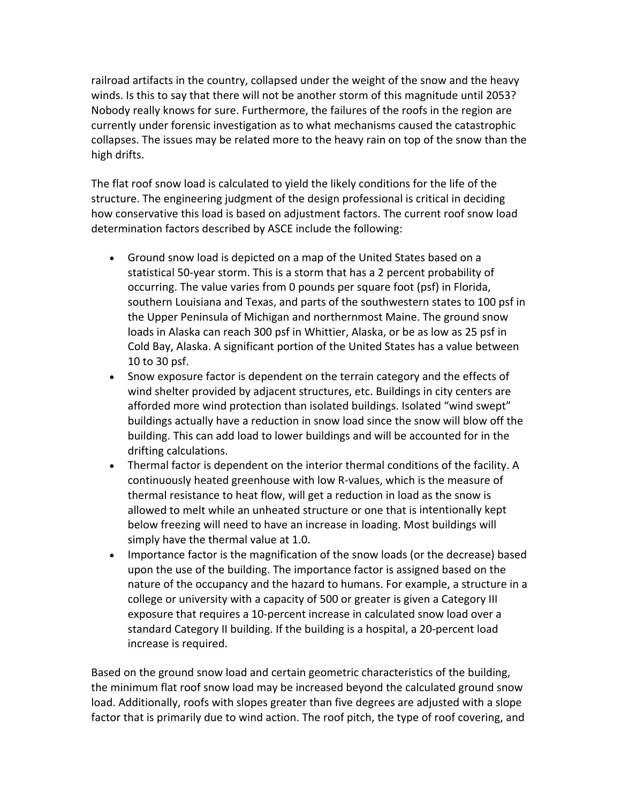railroad artifacts in the country, collapsed under the weight of the snow and the heavy winds. Is this to say that there will not be another storm of this magnitude until 2053? Nobody really knows for sure. Furthermore, the failures of the roofs in the region are currently under forensic investigation as to what mechanisms caused the catastrophic collapses. The issues may be related more to the heavy rain on top of the snow than the high drifts.

The flat roof snow load is calculated to yield the likely conditions for the life of the structure. The engineering judgment of the design professional is critical in deciding how conservative this load is based on adjustment factors. The current roof snow load determination factors described by ASCE include the following:

- Ground snow load is depicted on a map of the United States based on a statistical 50‐year storm. This is a storm that has a 2 percent probability of occurring. The value varies from 0 pounds per square foot (psf) in Florida, southern Louisiana and Texas, and parts of the southwestern states to 100 psf in the Upper Peninsula of Michigan and northernmost Maine. The ground snow loads in Alaska can reach 300 psf in Whittier, Alaska, or be as low as 25 psf in Cold Bay, Alaska. A significant portion of the United States has a value between 10 to 30 psf.
- Snow exposure factor is dependent on the terrain category and the effects of wind shelter provided by adjacent structures, etc. Buildings in city centers are afforded more wind protection than isolated buildings. Isolated "wind swept" buildings actually have a reduction in snow load since the snow will blow off the building. This can add load to lower buildings and will be accounted for in the drifting calculations.
- Thermal factor is dependent on the interior thermal conditions of the facility. A continuously heated greenhouse with low R‐values, which is the measure of thermal resistance to heat flow, will get a reduction in load as the snow is allowed to melt while an unheated structure or one that is intentionally kept below freezing will need to have an increase in loading. Most buildings will simply have the thermal value at 1.0.
- Importance factor is the magnification of the snow loads (or the decrease) based upon the use of the building. The importance factor is assigned based on the nature of the occupancy and the hazard to humans. For example, a structure in a college or university with a capacity of 500 or greater is given a Category III exposure that requires a 10‐percent increase in calculated snow load over a standard Category II building. If the building is a hospital, a 20‐percent load increase is required.

Based on the ground snow load and certain geometric characteristics of the building, the minimum flat roof snow load may be increased beyond the calculated ground snow load. Additionally, roofs with slopes greater than five degrees are adjusted with a slope factor that is primarily due to wind action. The roof pitch, the type of roof covering, and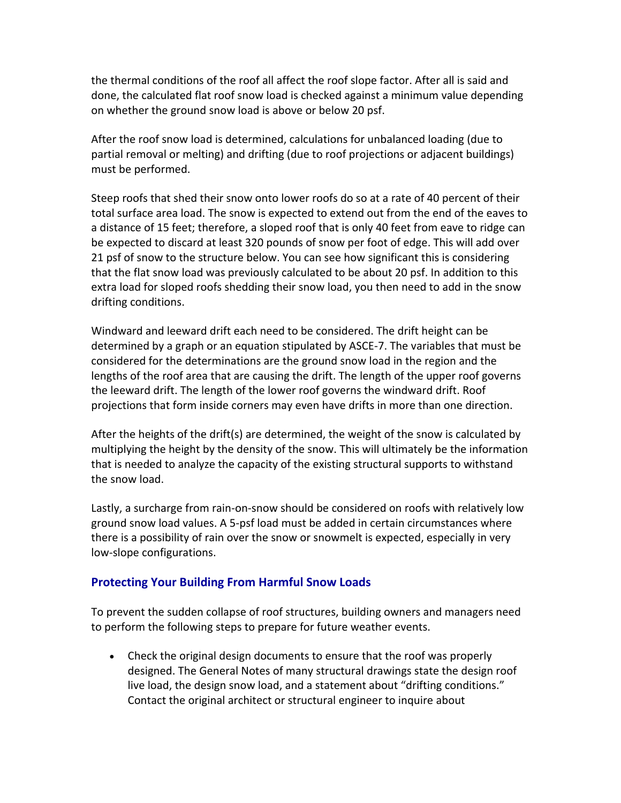the thermal conditions of the roof all affect the roof slope factor. After all is said and done, the calculated flat roof snow load is checked against a minimum value depending on whether the ground snow load is above or below 20 psf.

After the roof snow load is determined, calculations for unbalanced loading (due to partial removal or melting) and drifting (due to roof projections or adjacent buildings) must be performed.

Steep roofs that shed their snow onto lower roofs do so at a rate of 40 percent of their total surface area load. The snow is expected to extend out from the end of the eaves to a distance of 15 feet; therefore, a sloped roof that is only 40 feet from eave to ridge can be expected to discard at least 320 pounds of snow per foot of edge. This will add over 21 psf of snow to the structure below. You can see how significant this is considering that the flat snow load was previously calculated to be about 20 psf. In addition to this extra load for sloped roofs shedding their snow load, you then need to add in the snow drifting conditions.

Windward and leeward drift each need to be considered. The drift height can be determined by a graph or an equation stipulated by ASCE‐7. The variables that must be considered for the determinations are the ground snow load in the region and the lengths of the roof area that are causing the drift. The length of the upper roof governs the leeward drift. The length of the lower roof governs the windward drift. Roof projections that form inside corners may even have drifts in more than one direction.

After the heights of the drift(s) are determined, the weight of the snow is calculated by multiplying the height by the density of the snow. This will ultimately be the information that is needed to analyze the capacity of the existing structural supports to withstand the snow load.

Lastly, a surcharge from rain‐on‐snow should be considered on roofs with relatively low ground snow load values. A 5‐psf load must be added in certain circumstances where there is a possibility of rain over the snow or snowmelt is expected, especially in very low‐slope configurations.

#### **Protecting Your Building From Harmful Snow Loads**

To prevent the sudden collapse of roof structures, building owners and managers need to perform the following steps to prepare for future weather events.

 Check the original design documents to ensure that the roof was properly designed. The General Notes of many structural drawings state the design roof live load, the design snow load, and a statement about "drifting conditions." Contact the original architect or structural engineer to inquire about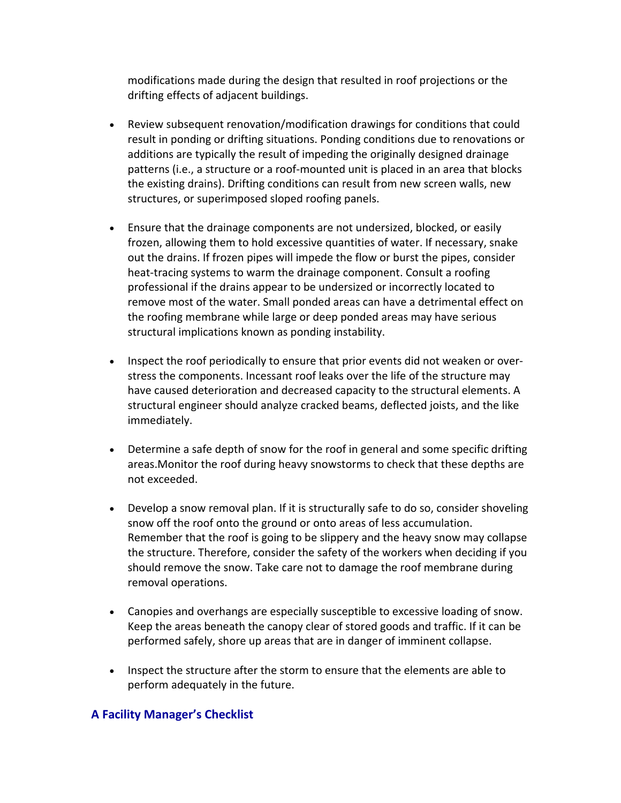modifications made during the design that resulted in roof projections or the drifting effects of adjacent buildings.

- Review subsequent renovation/modification drawings for conditions that could result in ponding or drifting situations. Ponding conditions due to renovations or additions are typically the result of impeding the originally designed drainage patterns (i.e., a structure or a roof‐mounted unit is placed in an area that blocks the existing drains). Drifting conditions can result from new screen walls, new structures, or superimposed sloped roofing panels.
- Ensure that the drainage components are not undersized, blocked, or easily frozen, allowing them to hold excessive quantities of water. If necessary, snake out the drains. If frozen pipes will impede the flow or burst the pipes, consider heat-tracing systems to warm the drainage component. Consult a roofing professional if the drains appear to be undersized or incorrectly located to remove most of the water. Small ponded areas can have a detrimental effect on the roofing membrane while large or deep ponded areas may have serious structural implications known as ponding instability.
- Inspect the roof periodically to ensure that prior events did not weaken or overstress the components. Incessant roof leaks over the life of the structure may have caused deterioration and decreased capacity to the structural elements. A structural engineer should analyze cracked beams, deflected joists, and the like immediately.
- Determine a safe depth of snow for the roof in general and some specific drifting areas.Monitor the roof during heavy snowstorms to check that these depths are not exceeded.
- Develop a snow removal plan. If it is structurally safe to do so, consider shoveling snow off the roof onto the ground or onto areas of less accumulation. Remember that the roof is going to be slippery and the heavy snow may collapse the structure. Therefore, consider the safety of the workers when deciding if you should remove the snow. Take care not to damage the roof membrane during removal operations.
- Canopies and overhangs are especially susceptible to excessive loading of snow. Keep the areas beneath the canopy clear of stored goods and traffic. If it can be performed safely, shore up areas that are in danger of imminent collapse.
- Inspect the structure after the storm to ensure that the elements are able to perform adequately in the future.

#### **A Facility Manager's Checklist**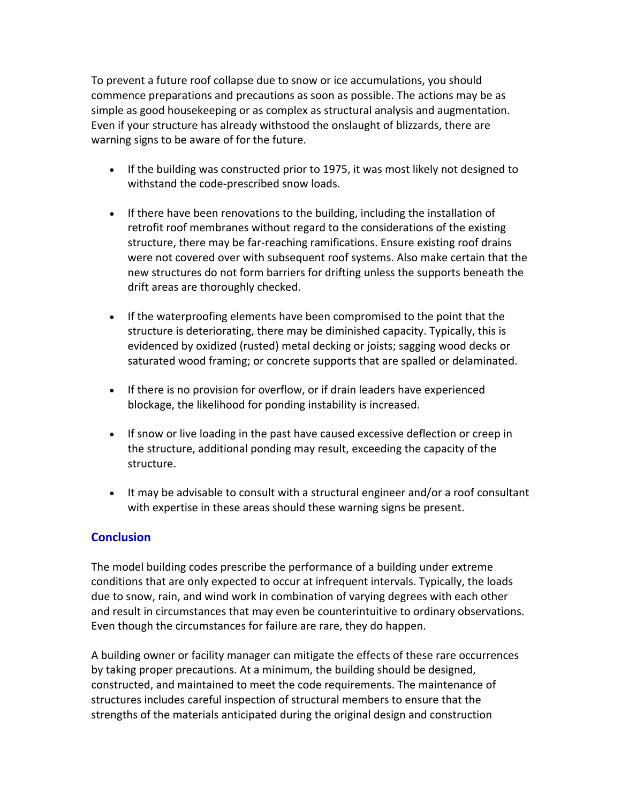To prevent a future roof collapse due to snow or ice accumulations, you should commence preparations and precautions as soon as possible. The actions may be as simple as good housekeeping or as complex as structural analysis and augmentation. Even if your structure has already withstood the onslaught of blizzards, there are warning signs to be aware of for the future.

- If the building was constructed prior to 1975, it was most likely not designed to withstand the code‐prescribed snow loads.
- If there have been renovations to the building, including the installation of retrofit roof membranes without regard to the considerations of the existing structure, there may be far‐reaching ramifications. Ensure existing roof drains were not covered over with subsequent roof systems. Also make certain that the new structures do not form barriers for drifting unless the supports beneath the drift areas are thoroughly checked.
- If the waterproofing elements have been compromised to the point that the structure is deteriorating, there may be diminished capacity. Typically, this is evidenced by oxidized (rusted) metal decking or joists; sagging wood decks or saturated wood framing; or concrete supports that are spalled or delaminated.
- If there is no provision for overflow, or if drain leaders have experienced blockage, the likelihood for ponding instability is increased.
- If snow or live loading in the past have caused excessive deflection or creep in the structure, additional ponding may result, exceeding the capacity of the structure.
- It may be advisable to consult with a structural engineer and/or a roof consultant with expertise in these areas should these warning signs be present.

#### **Conclusion**

The model building codes prescribe the performance of a building under extreme conditions that are only expected to occur at infrequent intervals. Typically, the loads due to snow, rain, and wind work in combination of varying degrees with each other and result in circumstances that may even be counterintuitive to ordinary observations. Even though the circumstances for failure are rare, they do happen.

A building owner or facility manager can mitigate the effects of these rare occurrences by taking proper precautions. At a minimum, the building should be designed, constructed, and maintained to meet the code requirements. The maintenance of structures includes careful inspection of structural members to ensure that the strengths of the materials anticipated during the original design and construction